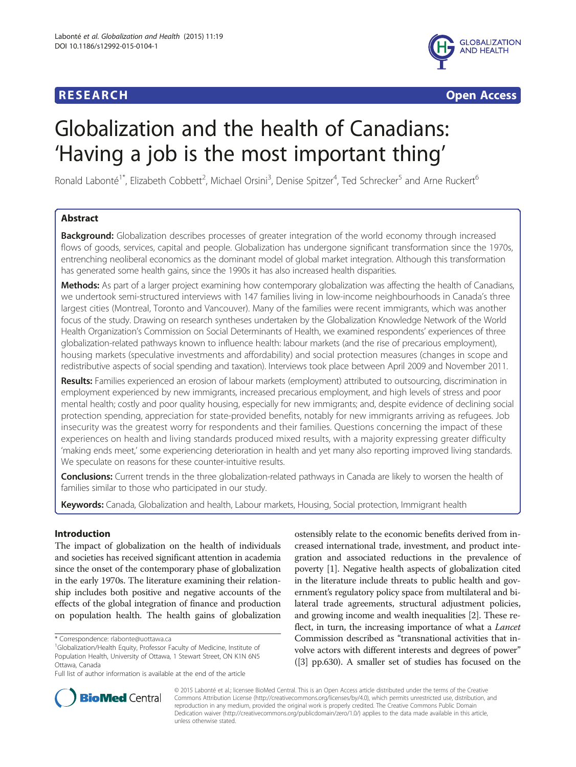



# Globalization and the health of Canadians: 'Having a job is the most important thing'

Ronald Labonté<sup>1\*</sup>, Elizabeth Cobbett<sup>2</sup>, Michael Orsini<sup>3</sup>, Denise Spitzer<sup>4</sup>, Ted Schrecker<sup>5</sup> and Arne Ruckert<sup>6</sup>

# Abstract

**Background:** Globalization describes processes of greater integration of the world economy through increased flows of goods, services, capital and people. Globalization has undergone significant transformation since the 1970s, entrenching neoliberal economics as the dominant model of global market integration. Although this transformation has generated some health gains, since the 1990s it has also increased health disparities.

Methods: As part of a larger project examining how contemporary globalization was affecting the health of Canadians, we undertook semi-structured interviews with 147 families living in low-income neighbourhoods in Canada's three largest cities (Montreal, Toronto and Vancouver). Many of the families were recent immigrants, which was another focus of the study. Drawing on research syntheses undertaken by the Globalization Knowledge Network of the World Health Organization's Commission on Social Determinants of Health, we examined respondents' experiences of three globalization-related pathways known to influence health: labour markets (and the rise of precarious employment), housing markets (speculative investments and affordability) and social protection measures (changes in scope and redistributive aspects of social spending and taxation). Interviews took place between April 2009 and November 2011.

Results: Families experienced an erosion of labour markets (employment) attributed to outsourcing, discrimination in employment experienced by new immigrants, increased precarious employment, and high levels of stress and poor mental health; costly and poor quality housing, especially for new immigrants; and, despite evidence of declining social protection spending, appreciation for state-provided benefits, notably for new immigrants arriving as refugees. Job insecurity was the greatest worry for respondents and their families. Questions concerning the impact of these experiences on health and living standards produced mixed results, with a majority expressing greater difficulty 'making ends meet,' some experiencing deterioration in health and yet many also reporting improved living standards. We speculate on reasons for these counter-intuitive results.

Conclusions: Current trends in the three globalization-related pathways in Canada are likely to worsen the health of families similar to those who participated in our study.

Keywords: Canada, Globalization and health, Labour markets, Housing, Social protection, Immigrant health

# Introduction

The impact of globalization on the health of individuals and societies has received significant attention in academia since the onset of the contemporary phase of globalization in the early 1970s. The literature examining their relationship includes both positive and negative accounts of the effects of the global integration of finance and production on population health. The health gains of globalization

\* Correspondence: [rlabonte@uottawa.ca](mailto:rlabonte@uottawa.ca) <sup>1</sup>

ostensibly relate to the economic benefits derived from increased international trade, investment, and product integration and associated reductions in the prevalence of poverty [\[1\]](#page-14-0). Negative health aspects of globalization cited in the literature include threats to public health and government's regulatory policy space from multilateral and bilateral trade agreements, structural adjustment policies, and growing income and wealth inequalities [[2](#page-14-0)]. These reflect, in turn, the increasing importance of what a Lancet Commission described as "transnational activities that involve actors with different interests and degrees of power" ([\[3\]](#page-14-0) pp.630). A smaller set of studies has focused on the



© 2015 Labonté et al.; licensee BioMed Central. This is an Open Access article distributed under the terms of the Creative Commons Attribution License [\(http://creativecommons.org/licenses/by/4.0\)](http://creativecommons.org/licenses/by/4.0), which permits unrestricted use, distribution, and reproduction in any medium, provided the original work is properly credited. The Creative Commons Public Domain Dedication waiver [\(http://creativecommons.org/publicdomain/zero/1.0/](http://creativecommons.org/publicdomain/zero/1.0/)) applies to the data made available in this article, unless otherwise stated.

<sup>&</sup>lt;sup>1</sup>Globalization/Health Equity, Professor Faculty of Medicine, Institute of Population Health, University of Ottawa, 1 Stewart Street, ON K1N 6N5 Ottawa, Canada

Full list of author information is available at the end of the article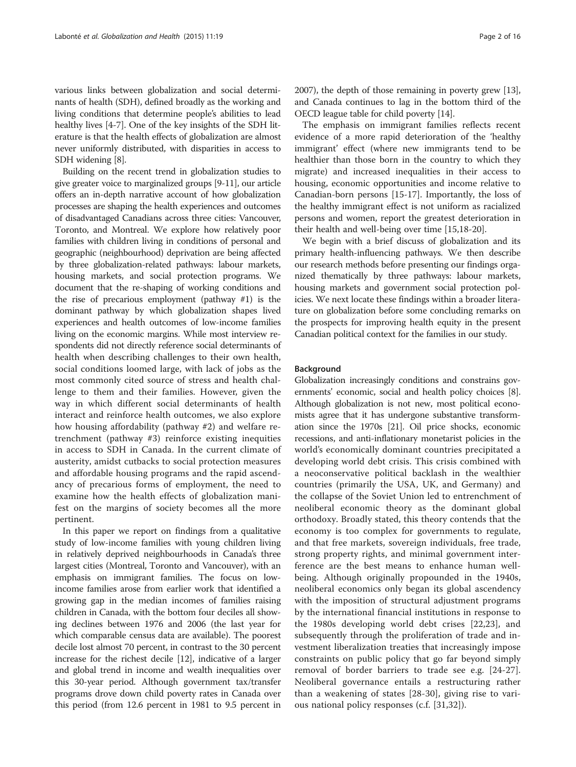various links between globalization and social determinants of health (SDH), defined broadly as the working and living conditions that determine people's abilities to lead healthy lives [\[4-7](#page-14-0)]. One of the key insights of the SDH literature is that the health effects of globalization are almost never uniformly distributed, with disparities in access to SDH widening [[8\]](#page-14-0).

Building on the recent trend in globalization studies to give greater voice to marginalized groups [[9](#page-14-0)-[11](#page-14-0)], our article offers an in-depth narrative account of how globalization processes are shaping the health experiences and outcomes of disadvantaged Canadians across three cities: Vancouver, Toronto, and Montreal. We explore how relatively poor families with children living in conditions of personal and geographic (neighbourhood) deprivation are being affected by three globalization-related pathways: labour markets, housing markets, and social protection programs. We document that the re-shaping of working conditions and the rise of precarious employment (pathway #1) is the dominant pathway by which globalization shapes lived experiences and health outcomes of low-income families living on the economic margins. While most interview respondents did not directly reference social determinants of health when describing challenges to their own health, social conditions loomed large, with lack of jobs as the most commonly cited source of stress and health challenge to them and their families. However, given the way in which different social determinants of health interact and reinforce health outcomes, we also explore how housing affordability (pathway #2) and welfare retrenchment (pathway #3) reinforce existing inequities in access to SDH in Canada. In the current climate of austerity, amidst cutbacks to social protection measures and affordable housing programs and the rapid ascendancy of precarious forms of employment, the need to examine how the health effects of globalization manifest on the margins of society becomes all the more pertinent.

In this paper we report on findings from a qualitative study of low-income families with young children living in relatively deprived neighbourhoods in Canada's three largest cities (Montreal, Toronto and Vancouver), with an emphasis on immigrant families. The focus on lowincome families arose from earlier work that identified a growing gap in the median incomes of families raising children in Canada, with the bottom four deciles all showing declines between 1976 and 2006 (the last year for which comparable census data are available). The poorest decile lost almost 70 percent, in contrast to the 30 percent increase for the richest decile [\[12\]](#page-14-0), indicative of a larger and global trend in income and wealth inequalities over this 30-year period. Although government tax/transfer programs drove down child poverty rates in Canada over this period (from 12.6 percent in 1981 to 9.5 percent in 2007), the depth of those remaining in poverty grew [[13](#page-14-0)], and Canada continues to lag in the bottom third of the OECD league table for child poverty [[14](#page-14-0)].

The emphasis on immigrant families reflects recent evidence of a more rapid deterioration of the 'healthy immigrant' effect (where new immigrants tend to be healthier than those born in the country to which they migrate) and increased inequalities in their access to housing, economic opportunities and income relative to Canadian-born persons [\[15-17](#page-14-0)]. Importantly, the loss of the healthy immigrant effect is not uniform as racialized persons and women, report the greatest deterioration in their health and well-being over time [[15,18-20](#page-14-0)].

We begin with a brief discuss of globalization and its primary health-influencing pathways. We then describe our research methods before presenting our findings organized thematically by three pathways: labour markets, housing markets and government social protection policies. We next locate these findings within a broader literature on globalization before some concluding remarks on the prospects for improving health equity in the present Canadian political context for the families in our study.

### Background

Globalization increasingly conditions and constrains governments' economic, social and health policy choices [[8](#page-14-0)]. Although globalization is not new, most political economists agree that it has undergone substantive transformation since the 1970s [[21](#page-14-0)]. Oil price shocks, economic recessions, and anti-inflationary monetarist policies in the world's economically dominant countries precipitated a developing world debt crisis. This crisis combined with a neoconservative political backlash in the wealthier countries (primarily the USA, UK, and Germany) and the collapse of the Soviet Union led to entrenchment of neoliberal economic theory as the dominant global orthodoxy. Broadly stated, this theory contends that the economy is too complex for governments to regulate, and that free markets, sovereign individuals, free trade, strong property rights, and minimal government interference are the best means to enhance human wellbeing. Although originally propounded in the 1940s, neoliberal economics only began its global ascendency with the imposition of structural adjustment programs by the international financial institutions in response to the 1980s developing world debt crises [[22,23](#page-14-0)], and subsequently through the proliferation of trade and investment liberalization treaties that increasingly impose constraints on public policy that go far beyond simply removal of border barriers to trade see e.g. [\[24](#page-14-0)-[27](#page-14-0)]. Neoliberal governance entails a restructuring rather than a weakening of states [\[28](#page-14-0)-[30\]](#page-14-0), giving rise to various national policy responses (c.f. [\[31](#page-14-0),[32\]](#page-14-0)).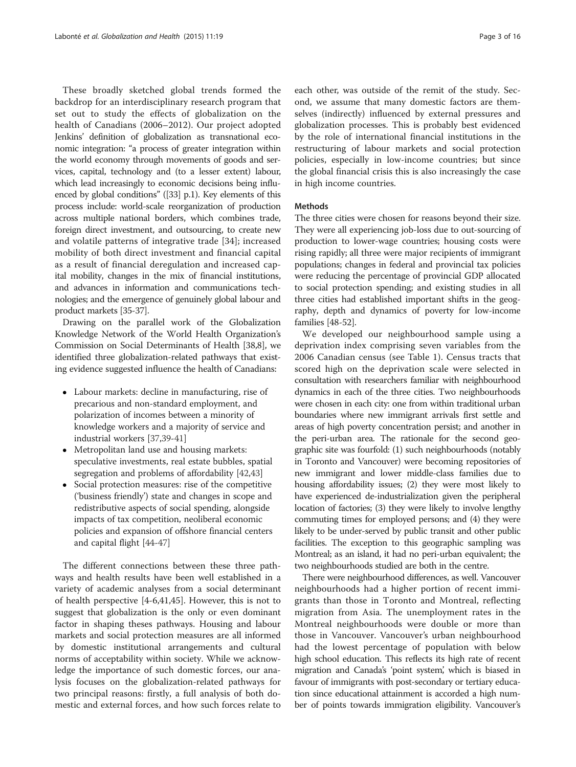These broadly sketched global trends formed the backdrop for an interdisciplinary research program that set out to study the effects of globalization on the health of Canadians (2006–2012). Our project adopted Jenkins' definition of globalization as transnational economic integration: "a process of greater integration within the world economy through movements of goods and services, capital, technology and (to a lesser extent) labour, which lead increasingly to economic decisions being influenced by global conditions" ([[33](#page-14-0)] p.1). Key elements of this process include: world-scale reorganization of production across multiple national borders, which combines trade, foreign direct investment, and outsourcing, to create new and volatile patterns of integrative trade [[34\]](#page-14-0); increased mobility of both direct investment and financial capital as a result of financial deregulation and increased capital mobility, changes in the mix of financial institutions, and advances in information and communications technologies; and the emergence of genuinely global labour and product markets [\[35-37](#page-14-0)].

Drawing on the parallel work of the Globalization Knowledge Network of the World Health Organization's Commission on Social Determinants of Health [\[38,8\]](#page-14-0), we identified three globalization-related pathways that existing evidence suggested influence the health of Canadians:

- Labour markets: decline in manufacturing, rise of precarious and non-standard employment, and polarization of incomes between a minority of knowledge workers and a majority of service and industrial workers [\[37,39-41](#page-14-0)]
- Metropolitan land use and housing markets: speculative investments, real estate bubbles, spatial segregation and problems of affordability [[42,43](#page-14-0)]
- Social protection measures: rise of the competitive ('business friendly') state and changes in scope and redistributive aspects of social spending, alongside impacts of tax competition, neoliberal economic policies and expansion of offshore financial centers and capital flight [\[44-47](#page-14-0)]

The different connections between these three pathways and health results have been well established in a variety of academic analyses from a social determinant of health perspective [\[4](#page-14-0)-[6,41,45\]](#page-14-0). However, this is not to suggest that globalization is the only or even dominant factor in shaping theses pathways. Housing and labour markets and social protection measures are all informed by domestic institutional arrangements and cultural norms of acceptability within society. While we acknowledge the importance of such domestic forces, our analysis focuses on the globalization-related pathways for two principal reasons: firstly, a full analysis of both domestic and external forces, and how such forces relate to

each other, was outside of the remit of the study. Second, we assume that many domestic factors are themselves (indirectly) influenced by external pressures and globalization processes. This is probably best evidenced by the role of international financial institutions in the restructuring of labour markets and social protection policies, especially in low-income countries; but since the global financial crisis this is also increasingly the case in high income countries.

### **Methods**

The three cities were chosen for reasons beyond their size. They were all experiencing job-loss due to out-sourcing of production to lower-wage countries; housing costs were rising rapidly; all three were major recipients of immigrant populations; changes in federal and provincial tax policies were reducing the percentage of provincial GDP allocated to social protection spending; and existing studies in all three cities had established important shifts in the geography, depth and dynamics of poverty for low-income families [\[48-52\]](#page-15-0).

We developed our neighbourhood sample using a deprivation index comprising seven variables from the 2006 Canadian census (see Table [1\)](#page-3-0). Census tracts that scored high on the deprivation scale were selected in consultation with researchers familiar with neighbourhood dynamics in each of the three cities. Two neighbourhoods were chosen in each city: one from within traditional urban boundaries where new immigrant arrivals first settle and areas of high poverty concentration persist; and another in the peri-urban area. The rationale for the second geographic site was fourfold: (1) such neighbourhoods (notably in Toronto and Vancouver) were becoming repositories of new immigrant and lower middle-class families due to housing affordability issues; (2) they were most likely to have experienced de-industrialization given the peripheral location of factories; (3) they were likely to involve lengthy commuting times for employed persons; and (4) they were likely to be under-served by public transit and other public facilities. The exception to this geographic sampling was Montreal; as an island, it had no peri-urban equivalent; the two neighbourhoods studied are both in the centre.

There were neighbourhood differences, as well. Vancouver neighbourhoods had a higher portion of recent immigrants than those in Toronto and Montreal, reflecting migration from Asia. The unemployment rates in the Montreal neighbourhoods were double or more than those in Vancouver. Vancouver's urban neighbourhood had the lowest percentage of population with below high school education. This reflects its high rate of recent migration and Canada's 'point system', which is biased in favour of immigrants with post-secondary or tertiary education since educational attainment is accorded a high number of points towards immigration eligibility. Vancouver's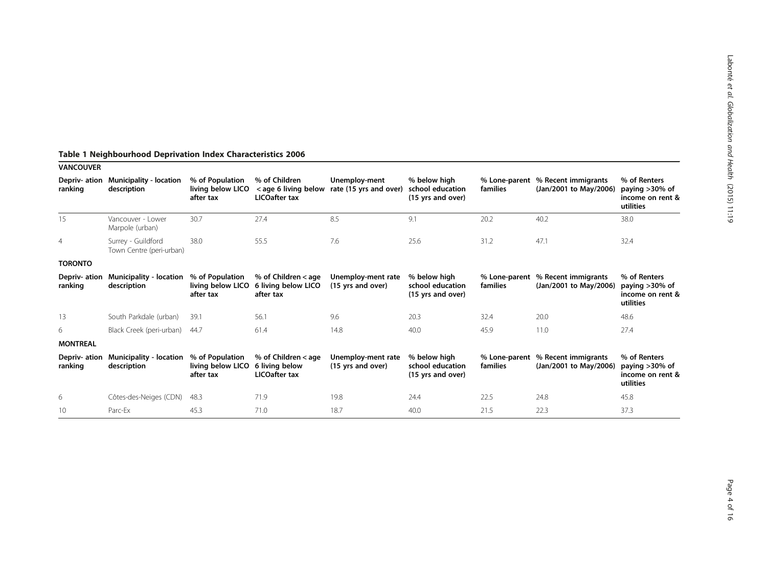# <span id="page-3-0"></span>Table 1 Neighbourhood Deprivation Index Characteristics 2006

| VANCOUVER                |                                                |                                                   |                                                                 |                                         |                                                       |                           |                                               |                                                                    |
|--------------------------|------------------------------------------------|---------------------------------------------------|-----------------------------------------------------------------|-----------------------------------------|-------------------------------------------------------|---------------------------|-----------------------------------------------|--------------------------------------------------------------------|
| Depriv- ation<br>ranking | <b>Municipality - location</b><br>description  | % of Population<br>living below LICO<br>after tax | % of Children<br>< age 6 living below<br><b>LICOafter tax</b>   | Unemploy-ment<br>rate (15 yrs and over) | % below high<br>school education<br>(15 yrs and over) | % Lone-parent<br>families | % Recent immigrants<br>(Jan/2001 to May/2006) | % of Renters<br>paying $>30\%$ of<br>income on rent &<br>utilities |
| 15                       | Vancouver - Lower<br>Marpole (urban)           | 30.7                                              | 27.4                                                            | 8.5                                     | 9.1                                                   | 20.2                      | 40.2                                          | 38.0                                                               |
| $\overline{4}$           | Surrey - Guildford<br>Town Centre (peri-urban) | 38.0                                              | 55.5                                                            | 7.6                                     | 25.6                                                  | 31.2                      | 47.1                                          | 32.4                                                               |
| <b>TORONTO</b>           |                                                |                                                   |                                                                 |                                         |                                                       |                           |                                               |                                                                    |
| Depriv- ation<br>ranking | <b>Municipality - location</b><br>description  | % of Population<br>living below LICO<br>after tax | % of Children $<$ age<br>6 living below LICO<br>after tax       | Unemploy-ment rate<br>(15 yrs and over) | % below high<br>school education<br>(15 yrs and over) | % Lone-parent<br>families | % Recent immigrants<br>(Jan/2001 to May/2006) | % of Renters<br>paying $>30\%$ of<br>income on rent &<br>utilities |
| 13                       | South Parkdale (urban)                         | 39.1                                              | 56.1                                                            | 9.6                                     | 20.3                                                  | 32.4                      | 20.0                                          | 48.6                                                               |
| 6                        | Black Creek (peri-urban)                       | 44.7                                              | 61.4                                                            | 14.8                                    | 40.0                                                  | 45.9                      | 11.0                                          | 27.4                                                               |
| <b>MONTREAL</b>          |                                                |                                                   |                                                                 |                                         |                                                       |                           |                                               |                                                                    |
| Depriv- ation<br>ranking | <b>Municipality - location</b><br>description  | % of Population<br>living below LICO<br>after tax | % of Children $<$ age<br>6 living below<br><b>LICOafter tax</b> | Unemploy-ment rate<br>(15 yrs and over) | % below high<br>school education<br>(15 yrs and over) | % Lone-parent<br>families | % Recent immigrants<br>(Jan/2001 to May/2006) | % of Renters<br>paying $>30\%$ of<br>income on rent &<br>utilities |
| 6                        | Côtes-des-Neiges (CDN)                         | 48.3                                              | 71.9                                                            | 19.8                                    | 24.4                                                  | 22.5                      | 24.8                                          | 45.8                                                               |
| 10                       | Parc-Ex                                        | 45.3                                              | 71.0                                                            | 18.7                                    | 40.0                                                  | 21.5                      | 22.3                                          | 37.3                                                               |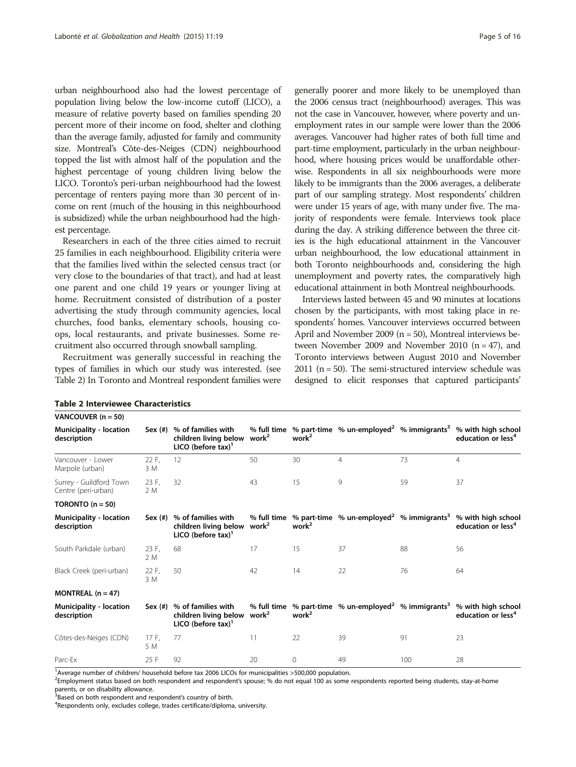<span id="page-4-0"></span>urban neighbourhood also had the lowest percentage of population living below the low-income cutoff (LICO), a measure of relative poverty based on families spending 20 percent more of their income on food, shelter and clothing than the average family, adjusted for family and community size. Montreal's Côte-des-Neiges (CDN) neighbourhood topped the list with almost half of the population and the highest percentage of young children living below the LICO. Toronto's peri-urban neighbourhood had the lowest percentage of renters paying more than 30 percent of income on rent (much of the housing in this neighbourhood is subsidized) while the urban neighbourhood had the highest percentage.

Researchers in each of the three cities aimed to recruit 25 families in each neighbourhood. Eligibility criteria were that the families lived within the selected census tract (or very close to the boundaries of that tract), and had at least one parent and one child 19 years or younger living at home. Recruitment consisted of distribution of a poster advertising the study through community agencies, local churches, food banks, elementary schools, housing coops, local restaurants, and private businesses. Some recruitment also occurred through snowball sampling.

Recruitment was generally successful in reaching the types of families in which our study was interested. (see Table 2) In Toronto and Montreal respondent families were

Table 2 Interviewee Characteristics

 $VANCOUVEB (n - 50)$ 

generally poorer and more likely to be unemployed than the 2006 census tract (neighbourhood) averages. This was not the case in Vancouver, however, where poverty and unemployment rates in our sample were lower than the 2006 averages. Vancouver had higher rates of both full time and part-time employment, particularly in the urban neighbourhood, where housing prices would be unaffordable otherwise. Respondents in all six neighbourhoods were more likely to be immigrants than the 2006 averages, a deliberate part of our sampling strategy. Most respondents' children were under 15 years of age, with many under five. The majority of respondents were female. Interviews took place during the day. A striking difference between the three cities is the high educational attainment in the Vancouver urban neighbourhood, the low educational attainment in both Toronto neighbourhoods and, considering the high unemployment and poverty rates, the comparatively high educational attainment in both Montreal neighbourhoods.

Interviews lasted between 45 and 90 minutes at locations chosen by the participants, with most taking place in respondents' homes. Vancouver interviews occurred between April and November 2009 (n = 50), Montreal interviews between November 2009 and November 2010 ( $n = 47$ ), and Toronto interviews between August 2010 and November  $2011$  (n = 50). The semi-structured interview schedule was designed to elicit responses that captured participants'

| ,,,,,,,,,,,,,,,,,,,,,,,                        |              |                                                                              |                          |                   |                                                                              |     |                                                                                                                                   |
|------------------------------------------------|--------------|------------------------------------------------------------------------------|--------------------------|-------------------|------------------------------------------------------------------------------|-----|-----------------------------------------------------------------------------------------------------------------------------------|
| <b>Municipality - location</b><br>description  |              | Sex (#) % of families with<br>children living below<br>LICO (before tax) $1$ | work $^2$                | work $^2$         |                                                                              |     | % full time % part-time % un-employed <sup>2</sup> % immigrants <sup>3</sup> % with high school<br>education or less <sup>4</sup> |
| Vancouver - Lower<br>Marpole (urban)           | 22 F,<br>3 M | 12                                                                           | 50                       | 30                | $\overline{4}$                                                               | 73  | $\overline{4}$                                                                                                                    |
| Surrey - Guildford Town<br>Centre (peri-urban) | 23 F,<br>2 M | 32                                                                           | 43                       | 15                | 9                                                                            | 59  | 37                                                                                                                                |
| TORONTO ( $n = 50$ )                           |              |                                                                              |                          |                   |                                                                              |     |                                                                                                                                   |
| <b>Municipality - location</b><br>description  | Sex (#)      | % of families with<br>children living below<br>LICO (before tax)'            | work $^2$                | work $^2$         | % full time % part-time % un-employed <sup>2</sup> % immigrants <sup>3</sup> |     | % with high school<br>education or less <sup>4</sup>                                                                              |
| South Parkdale (urban)                         | 23 F,<br>2 M | 68                                                                           | 17                       | 15                | 37                                                                           | 88  | 56                                                                                                                                |
| Black Creek (peri-urban)                       | 22 F,<br>3 M | 50                                                                           | 42                       | 14                | 22                                                                           | 76  | 64                                                                                                                                |
| MONTREAL $(n = 47)$                            |              |                                                                              |                          |                   |                                                                              |     |                                                                                                                                   |
| <b>Municipality - location</b><br>description  | $Sex$ $($ #) | % of families with<br>children living below<br>LICO (before tax) $1$         | % full time<br>work $^2$ | work <sup>2</sup> | % part-time % un-employed <sup>2</sup> % immigrants <sup>3</sup>             |     | % with high school<br>education or less <sup>4</sup>                                                                              |
| Côtes-des-Neiges (CDN)                         | 17 F,<br>5 M | 77                                                                           | 11                       | 22                | 39                                                                           | 91  | 23                                                                                                                                |
| Parc-Ex                                        | 25 F         | 92                                                                           | 20                       | 0                 | 49                                                                           | 100 | 28                                                                                                                                |

<sup>1</sup> Average number of children/ household before tax 2006 LICOs for municipalities >500,000 population.

<sup>2</sup>Employment status based on both respondent and respondent's spouse; % do not equal 100 as some respondents reported being students, stay-at-home parents, or on disability allowance.

 $\frac{3}{3}$ Based on both respondent and respondent's country of birth.<br> $\frac{4}{3}$ Bespondents only excludes college trades certificate/diploma

Respondents only, excludes college, trades certificate/diploma, university.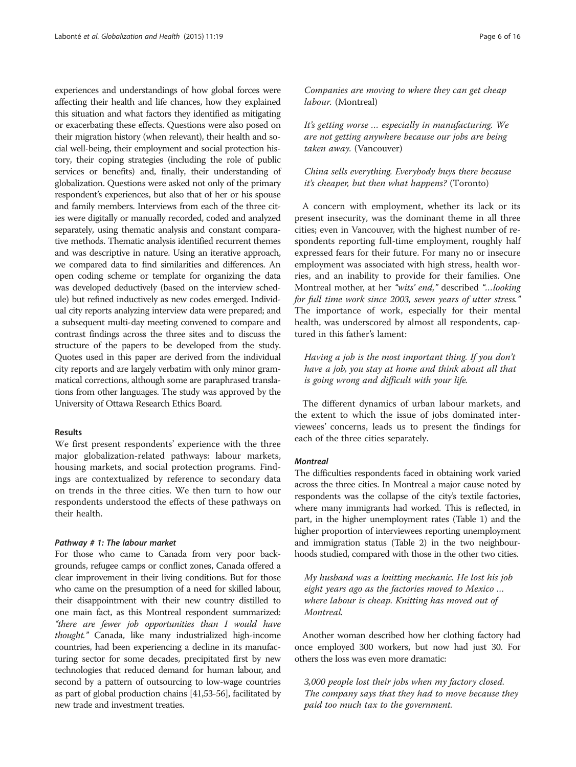experiences and understandings of how global forces were affecting their health and life chances, how they explained this situation and what factors they identified as mitigating or exacerbating these effects. Questions were also posed on their migration history (when relevant), their health and social well-being, their employment and social protection history, their coping strategies (including the role of public services or benefits) and, finally, their understanding of globalization. Questions were asked not only of the primary respondent's experiences, but also that of her or his spouse and family members. Interviews from each of the three cities were digitally or manually recorded, coded and analyzed separately, using thematic analysis and constant comparative methods. Thematic analysis identified recurrent themes and was descriptive in nature. Using an iterative approach, we compared data to find similarities and differences. An open coding scheme or template for organizing the data was developed deductively (based on the interview schedule) but refined inductively as new codes emerged. Individual city reports analyzing interview data were prepared; and a subsequent multi-day meeting convened to compare and contrast findings across the three sites and to discuss the structure of the papers to be developed from the study. Quotes used in this paper are derived from the individual city reports and are largely verbatim with only minor grammatical corrections, although some are paraphrased translations from other languages. The study was approved by the University of Ottawa Research Ethics Board.

# Results

We first present respondents' experience with the three major globalization-related pathways: labour markets, housing markets, and social protection programs. Findings are contextualized by reference to secondary data on trends in the three cities. We then turn to how our respondents understood the effects of these pathways on their health.

For those who came to Canada from very poor backgrounds, refugee camps or conflict zones, Canada offered a clear improvement in their living conditions. But for those who came on the presumption of a need for skilled labour, their disappointment with their new country distilled to one main fact, as this Montreal respondent summarized: "there are fewer job opportunities than I would have thought." Canada, like many industrialized high-income countries, had been experiencing a decline in its manufacturing sector for some decades, precipitated first by new technologies that reduced demand for human labour, and second by a pattern of outsourcing to low-wage countries as part of global production chains [\[41,](#page-14-0)[53](#page-15-0)-[56](#page-15-0)], facilitated by new trade and investment treaties.

Companies are moving to where they can get cheap labour. (Montreal)

It's getting worse … especially in manufacturing. We are not getting anywhere because our jobs are being taken away. (Vancouver)

# China sells everything. Everybody buys there because it's cheaper, but then what happens? (Toronto)

A concern with employment, whether its lack or its present insecurity, was the dominant theme in all three cities; even in Vancouver, with the highest number of respondents reporting full-time employment, roughly half expressed fears for their future. For many no or insecure employment was associated with high stress, health worries, and an inability to provide for their families. One Montreal mother, at her "wits' end," described "…looking for full time work since 2003, seven years of utter stress." The importance of work, especially for their mental health, was underscored by almost all respondents, captured in this father's lament:

Having a job is the most important thing. If you don't have a job, you stay at home and think about all that is going wrong and difficult with your life.

The different dynamics of urban labour markets, and the extent to which the issue of jobs dominated interviewees' concerns, leads us to present the findings for each of the three cities separately.

The difficulties respondents faced in obtaining work varied across the three cities. In Montreal a major cause noted by respondents was the collapse of the city's textile factories, where many immigrants had worked. This is reflected, in part, in the higher unemployment rates (Table [1\)](#page-3-0) and the higher proportion of interviewees reporting unemployment and immigration status (Table [2](#page-4-0)) in the two neighbourhoods studied, compared with those in the other two cities.

My husband was a knitting mechanic. He lost his job eight years ago as the factories moved to Mexico … where labour is cheap. Knitting has moved out of Montreal.

Another woman described how her clothing factory had once employed 300 workers, but now had just 30. For others the loss was even more dramatic:

3,000 people lost their jobs when my factory closed. The company says that they had to move because they paid too much tax to the government.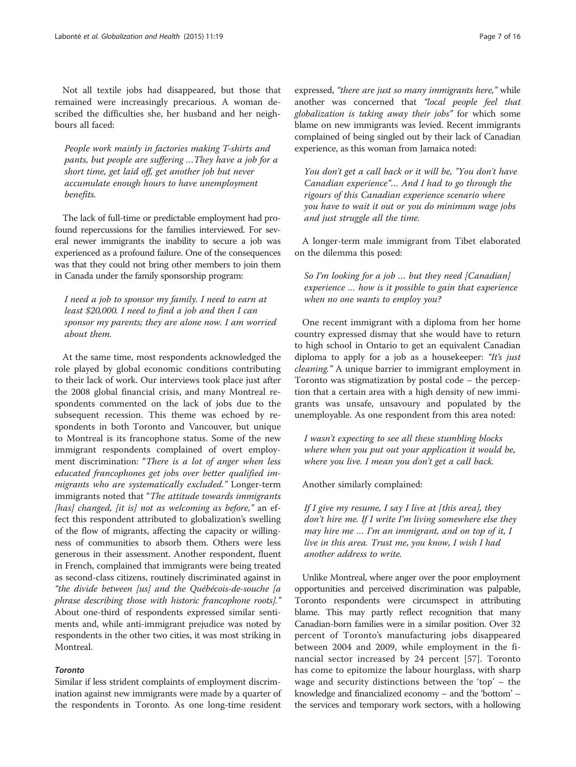Not all textile jobs had disappeared, but those that remained were increasingly precarious. A woman described the difficulties she, her husband and her neighbours all faced:

People work mainly in factories making T-shirts and pants, but people are suffering …They have a job for a short time, get laid off, get another job but never accumulate enough hours to have unemployment benefits.

The lack of full-time or predictable employment had profound repercussions for the families interviewed. For several newer immigrants the inability to secure a job was experienced as a profound failure. One of the consequences was that they could not bring other members to join them in Canada under the family sponsorship program:

I need a job to sponsor my family. I need to earn at least \$20,000. I need to find a job and then I can sponsor my parents; they are alone now. I am worried about them.

At the same time, most respondents acknowledged the role played by global economic conditions contributing to their lack of work. Our interviews took place just after the 2008 global financial crisis, and many Montreal respondents commented on the lack of jobs due to the subsequent recession. This theme was echoed by respondents in both Toronto and Vancouver, but unique to Montreal is its francophone status. Some of the new immigrant respondents complained of overt employment discrimination: "There is a lot of anger when less educated francophones get jobs over better qualified immigrants who are systematically excluded." Longer-term immigrants noted that "The attitude towards immigrants [has] changed, [it is] not as welcoming as before," an effect this respondent attributed to globalization's swelling of the flow of migrants, affecting the capacity or willingness of communities to absorb them. Others were less generous in their assessment. Another respondent, fluent in French, complained that immigrants were being treated as second-class citizens, routinely discriminated against in "the divide between [us] and the Québécois-de-souche [a phrase describing those with historic francophone roots]." About one-third of respondents expressed similar sentiments and, while anti-immigrant prejudice was noted by respondents in the other two cities, it was most striking in Montreal.

Similar if less strident complaints of employment discrimination against new immigrants were made by a quarter of the respondents in Toronto. As one long-time resident

expressed, "there are just so many immigrants here," while another was concerned that "local people feel that globalization is taking away their jobs" for which some blame on new immigrants was levied. Recent immigrants complained of being singled out by their lack of Canadian experience, as this woman from Jamaica noted:

You don't get a call back or it will be, "You don't have Canadian experience"… And I had to go through the rigours of this Canadian experience scenario where you have to wait it out or you do minimum wage jobs and just struggle all the time.

A longer-term male immigrant from Tibet elaborated on the dilemma this posed:

So I'm looking for a job ... but they need [Canadian] experience … how is it possible to gain that experience when no one wants to employ you?

One recent immigrant with a diploma from her home country expressed dismay that she would have to return to high school in Ontario to get an equivalent Canadian diploma to apply for a job as a housekeeper: "It's just cleaning." A unique barrier to immigrant employment in Toronto was stigmatization by postal code – the perception that a certain area with a high density of new immigrants was unsafe, unsavoury and populated by the unemployable. As one respondent from this area noted:

I wasn't expecting to see all these stumbling blocks where when you put out your application it would be, where you live. I mean you don't get a call back.

Another similarly complained:

If I give my resume, I say I live at [this area], they don't hire me. If I write I'm living somewhere else they may hire me … I'm an immigrant, and on top of it, I live in this area. Trust me, you know, I wish I had another address to write.

Unlike Montreal, where anger over the poor employment opportunities and perceived discrimination was palpable, Toronto respondents were circumspect in attributing blame. This may partly reflect recognition that many Canadian-born families were in a similar position. Over 32 percent of Toronto's manufacturing jobs disappeared between 2004 and 2009, while employment in the financial sector increased by 24 percent [\[57](#page-15-0)]. Toronto has come to epitomize the labour hourglass, with sharp wage and security distinctions between the 'top' – the knowledge and financialized economy – and the 'bottom' – the services and temporary work sectors, with a hollowing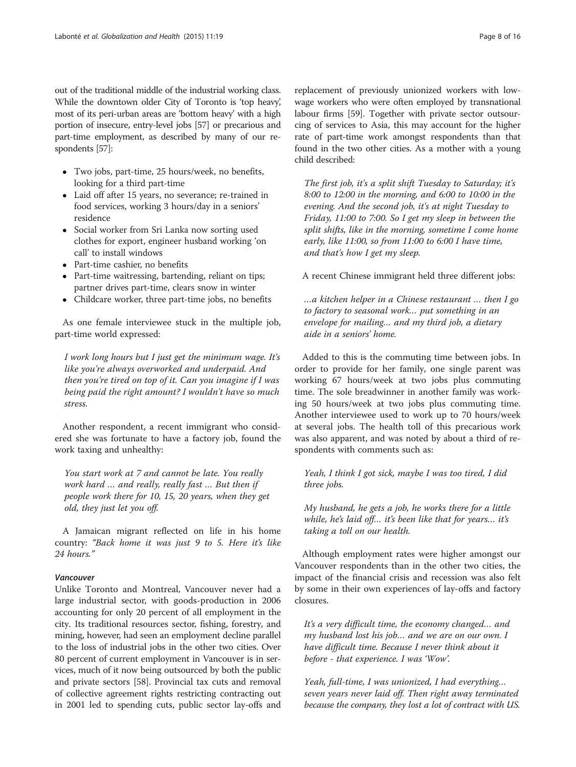out of the traditional middle of the industrial working class. While the downtown older City of Toronto is 'top heavy,' most of its peri-urban areas are 'bottom heavy' with a high portion of insecure, entry-level jobs [\[57\]](#page-15-0) or precarious and part-time employment, as described by many of our respondents [\[57\]](#page-15-0):

- Two jobs, part-time, 25 hours/week, no benefits, looking for a third part-time
- Laid off after 15 years, no severance; re-trained in food services, working 3 hours/day in a seniors' residence
- Social worker from Sri Lanka now sorting used clothes for export, engineer husband working 'on call' to install windows
- Part-time cashier, no benefits
- Part-time waitressing, bartending, reliant on tips; partner drives part-time, clears snow in winter
- Childcare worker, three part-time jobs, no benefits

As one female interviewee stuck in the multiple job, part-time world expressed:

I work long hours but I just get the minimum wage. It's like you're always overworked and underpaid. And then you're tired on top of it. Can you imagine if I was being paid the right amount? I wouldn't have so much stress.

Another respondent, a recent immigrant who considered she was fortunate to have a factory job, found the work taxing and unhealthy:

You start work at 7 and cannot be late. You really work hard … and really, really fast … But then if people work there for 10, 15, 20 years, when they get old, they just let you off.

A Jamaican migrant reflected on life in his home country: "Back home it was just 9 to 5. Here it's like 24 hours."

Unlike Toronto and Montreal, Vancouver never had a large industrial sector, with goods-production in 2006 accounting for only 20 percent of all employment in the city. Its traditional resources sector, fishing, forestry, and mining, however, had seen an employment decline parallel to the loss of industrial jobs in the other two cities. Over 80 percent of current employment in Vancouver is in services, much of it now being outsourced by both the public and private sectors [\[58\]](#page-15-0). Provincial tax cuts and removal of collective agreement rights restricting contracting out in 2001 led to spending cuts, public sector lay-offs and

replacement of previously unionized workers with lowwage workers who were often employed by transnational labour firms [[59](#page-15-0)]. Together with private sector outsourcing of services to Asia, this may account for the higher rate of part-time work amongst respondents than that found in the two other cities. As a mother with a young child described:

The first job, it's a split shift Tuesday to Saturday; it's 8:00 to 12:00 in the morning, and 6:00 to 10:00 in the evening. And the second job, it's at night Tuesday to Friday, 11:00 to 7:00. So I get my sleep in between the split shifts, like in the morning, sometime I come home early, like 11:00, so from 11:00 to 6:00 I have time, and that's how I get my sleep.

A recent Chinese immigrant held three different jobs:

…a kitchen helper in a Chinese restaurant … then I go to factory to seasonal work… put something in an envelope for mailing… and my third job, a dietary aide in a seniors' home.

Added to this is the commuting time between jobs. In order to provide for her family, one single parent was working 67 hours/week at two jobs plus commuting time. The sole breadwinner in another family was working 50 hours/week at two jobs plus commuting time. Another interviewee used to work up to 70 hours/week at several jobs. The health toll of this precarious work was also apparent, and was noted by about a third of respondents with comments such as:

Yeah, I think I got sick, maybe I was too tired, I did three jobs.

My husband, he gets a job, he works there for a little while, he's laid off… it's been like that for years… it's taking a toll on our health.

Although employment rates were higher amongst our Vancouver respondents than in the other two cities, the impact of the financial crisis and recession was also felt by some in their own experiences of lay-offs and factory closures.

It's a very difficult time, the economy changed… and my husband lost his job… and we are on our own. I have difficult time. Because I never think about it before - that experience. I was 'Wow'.

Yeah, full-time, I was unionized, I had everything… seven years never laid off. Then right away terminated because the company, they lost a lot of contract with US.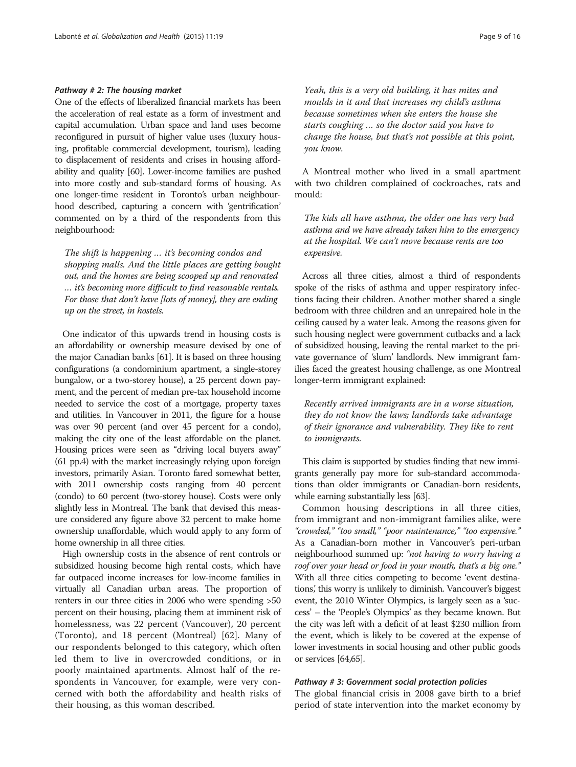One of the effects of liberalized financial markets has been the acceleration of real estate as a form of investment and capital accumulation. Urban space and land uses become reconfigured in pursuit of higher value uses (luxury housing, profitable commercial development, tourism), leading to displacement of residents and crises in housing affordability and quality [\[60](#page-15-0)]. Lower-income families are pushed into more costly and sub-standard forms of housing. As one longer-time resident in Toronto's urban neighbourhood described, capturing a concern with 'gentrification' commented on by a third of the respondents from this neighbourhood:

The shift is happening … it's becoming condos and shopping malls. And the little places are getting bought out, and the homes are being scooped up and renovated … it's becoming more difficult to find reasonable rentals. For those that don't have [lots of money], they are ending up on the street, in hostels.

One indicator of this upwards trend in housing costs is an affordability or ownership measure devised by one of the major Canadian banks [\[61\]](#page-15-0). It is based on three housing configurations (a condominium apartment, a single-storey bungalow, or a two-storey house), a 25 percent down payment, and the percent of median pre-tax household income needed to service the cost of a mortgage, property taxes and utilities. In Vancouver in 2011, the figure for a house was over 90 percent (and over 45 percent for a condo), making the city one of the least affordable on the planet. Housing prices were seen as "driving local buyers away" (61 pp.4) with the market increasingly relying upon foreign investors, primarily Asian. Toronto fared somewhat better, with 2011 ownership costs ranging from 40 percent (condo) to 60 percent (two-storey house). Costs were only slightly less in Montreal. The bank that devised this measure considered any figure above 32 percent to make home ownership unaffordable, which would apply to any form of home ownership in all three cities.

High ownership costs in the absence of rent controls or subsidized housing become high rental costs, which have far outpaced income increases for low-income families in virtually all Canadian urban areas. The proportion of renters in our three cities in 2006 who were spending >50 percent on their housing, placing them at imminent risk of homelessness, was 22 percent (Vancouver), 20 percent (Toronto), and 18 percent (Montreal) [\[62](#page-15-0)]. Many of our respondents belonged to this category, which often led them to live in overcrowded conditions, or in poorly maintained apartments. Almost half of the respondents in Vancouver, for example, were very concerned with both the affordability and health risks of their housing, as this woman described.

Yeah, this is a very old building, it has mites and moulds in it and that increases my child's asthma because sometimes when she enters the house she starts coughing … so the doctor said you have to change the house, but that's not possible at this point, you know.

A Montreal mother who lived in a small apartment with two children complained of cockroaches, rats and mould:

The kids all have asthma, the older one has very bad asthma and we have already taken him to the emergency at the hospital. We can't move because rents are too expensive.

Across all three cities, almost a third of respondents spoke of the risks of asthma and upper respiratory infections facing their children. Another mother shared a single bedroom with three children and an unrepaired hole in the ceiling caused by a water leak. Among the reasons given for such housing neglect were government cutbacks and a lack of subsidized housing, leaving the rental market to the private governance of 'slum' landlords. New immigrant families faced the greatest housing challenge, as one Montreal longer-term immigrant explained:

Recently arrived immigrants are in a worse situation, they do not know the laws; landlords take advantage of their ignorance and vulnerability. They like to rent to immigrants.

This claim is supported by studies finding that new immigrants generally pay more for sub-standard accommodations than older immigrants or Canadian-born residents, while earning substantially less [\[63\]](#page-15-0).

Common housing descriptions in all three cities, from immigrant and non-immigrant families alike, were "crowded," "too small," "poor maintenance," "too expensive." As a Canadian-born mother in Vancouver's peri-urban neighbourhood summed up: "not having to worry having a roof over your head or food in your mouth, that's a big one." With all three cities competing to become 'event destinations,' this worry is unlikely to diminish. Vancouver's biggest event, the 2010 Winter Olympics, is largely seen as a 'success' – the 'People's Olympics' as they became known. But the city was left with a deficit of at least \$230 million from the event, which is likely to be covered at the expense of lower investments in social housing and other public goods or services [[64,65\]](#page-15-0).

The global financial crisis in 2008 gave birth to a brief period of state intervention into the market economy by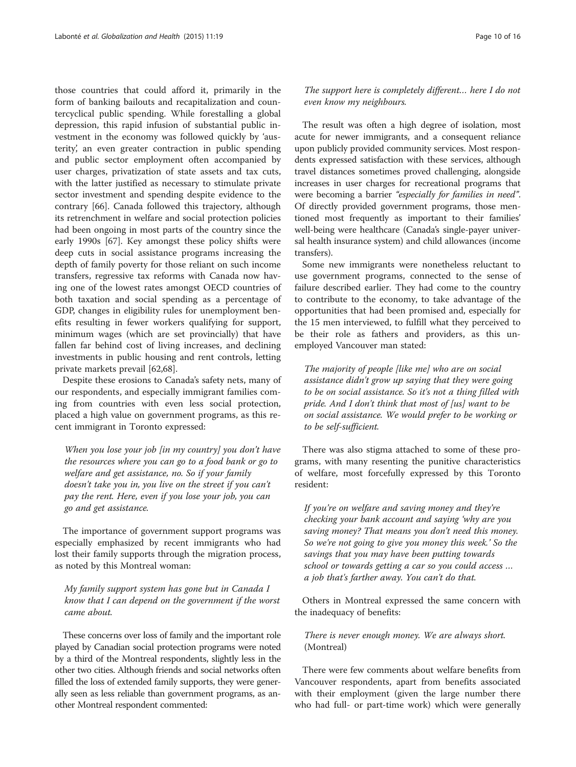those countries that could afford it, primarily in the form of banking bailouts and recapitalization and countercyclical public spending. While forestalling a global depression, this rapid infusion of substantial public investment in the economy was followed quickly by 'austerity', an even greater contraction in public spending and public sector employment often accompanied by user charges, privatization of state assets and tax cuts, with the latter justified as necessary to stimulate private sector investment and spending despite evidence to the contrary [\[66\]](#page-15-0). Canada followed this trajectory, although its retrenchment in welfare and social protection policies had been ongoing in most parts of the country since the early 1990s [[67\]](#page-15-0). Key amongst these policy shifts were deep cuts in social assistance programs increasing the depth of family poverty for those reliant on such income transfers, regressive tax reforms with Canada now having one of the lowest rates amongst OECD countries of both taxation and social spending as a percentage of GDP, changes in eligibility rules for unemployment benefits resulting in fewer workers qualifying for support, minimum wages (which are set provincially) that have fallen far behind cost of living increases, and declining investments in public housing and rent controls, letting private markets prevail [[62](#page-15-0),[68](#page-15-0)].

Despite these erosions to Canada's safety nets, many of our respondents, and especially immigrant families coming from countries with even less social protection, placed a high value on government programs, as this recent immigrant in Toronto expressed:

When you lose your job *[in my country]* you don't have the resources where you can go to a food bank or go to welfare and get assistance, no. So if your family doesn't take you in, you live on the street if you can't pay the rent. Here, even if you lose your job, you can go and get assistance.

The importance of government support programs was especially emphasized by recent immigrants who had lost their family supports through the migration process, as noted by this Montreal woman:

My family support system has gone but in Canada I know that I can depend on the government if the worst came about.

These concerns over loss of family and the important role played by Canadian social protection programs were noted by a third of the Montreal respondents, slightly less in the other two cities. Although friends and social networks often filled the loss of extended family supports, they were generally seen as less reliable than government programs, as another Montreal respondent commented:

The support here is completely different… here I do not even know my neighbours.

The result was often a high degree of isolation, most acute for newer immigrants, and a consequent reliance upon publicly provided community services. Most respondents expressed satisfaction with these services, although travel distances sometimes proved challenging, alongside increases in user charges for recreational programs that were becoming a barrier "especially for families in need". Of directly provided government programs, those mentioned most frequently as important to their families' well-being were healthcare (Canada's single-payer universal health insurance system) and child allowances (income transfers).

Some new immigrants were nonetheless reluctant to use government programs, connected to the sense of failure described earlier. They had come to the country to contribute to the economy, to take advantage of the opportunities that had been promised and, especially for the 15 men interviewed, to fulfill what they perceived to be their role as fathers and providers, as this unemployed Vancouver man stated:

The majority of people [like me] who are on social assistance didn't grow up saying that they were going to be on social assistance. So it's not a thing filled with pride. And I don't think that most of [us] want to be on social assistance. We would prefer to be working or to be self-sufficient.

There was also stigma attached to some of these programs, with many resenting the punitive characteristics of welfare, most forcefully expressed by this Toronto resident:

If you're on welfare and saving money and they're checking your bank account and saying 'why are you saving money? That means you don't need this money. So we're not going to give you money this week.' So the savings that you may have been putting towards school or towards getting a car so you could access … a job that's farther away. You can't do that.

Others in Montreal expressed the same concern with the inadequacy of benefits:

# There is never enough money. We are always short. (Montreal)

There were few comments about welfare benefits from Vancouver respondents, apart from benefits associated with their employment (given the large number there who had full- or part-time work) which were generally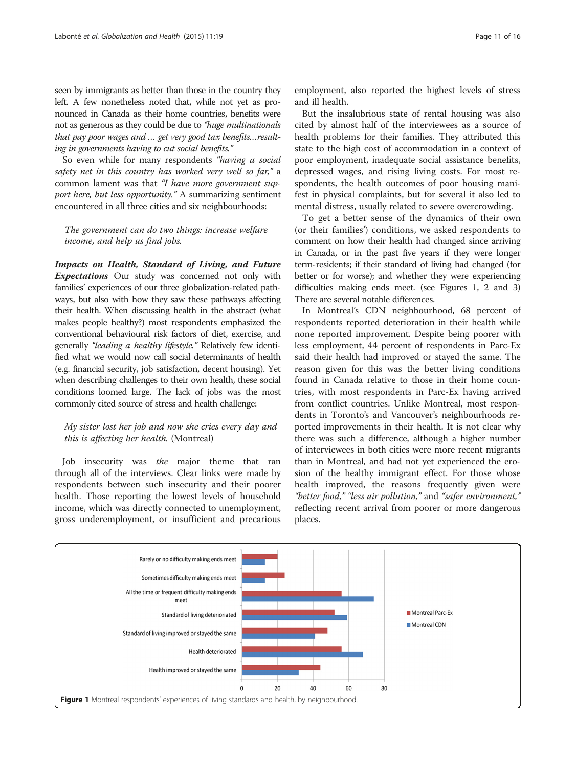seen by immigrants as better than those in the country they left. A few nonetheless noted that, while not yet as pronounced in Canada as their home countries, benefits were not as generous as they could be due to "huge multinationals that pay poor wages and … get very good tax benefits…resulting in governments having to cut social benefits."

So even while for many respondents "having a social safety net in this country has worked very well so far," a common lament was that "I have more government support here, but less opportunity." A summarizing sentiment encountered in all three cities and six neighbourhoods:

The government can do two things: increase welfare income, and help us find jobs.

Impacts on Health, Standard of Living, and Future Expectations Our study was concerned not only with families' experiences of our three globalization-related pathways, but also with how they saw these pathways affecting their health. When discussing health in the abstract (what makes people healthy?) most respondents emphasized the conventional behavioural risk factors of diet, exercise, and generally "leading a healthy lifestyle." Relatively few identified what we would now call social determinants of health (e.g. financial security, job satisfaction, decent housing). Yet when describing challenges to their own health, these social conditions loomed large. The lack of jobs was the most commonly cited source of stress and health challenge:

# My sister lost her job and now she cries every day and this is affecting her health. (Montreal)

Job insecurity was the major theme that ran through all of the interviews. Clear links were made by respondents between such insecurity and their poorer health. Those reporting the lowest levels of household income, which was directly connected to unemployment, gross underemployment, or insufficient and precarious

employment, also reported the highest levels of stress and ill health.

But the insalubrious state of rental housing was also cited by almost half of the interviewees as a source of health problems for their families. They attributed this state to the high cost of accommodation in a context of poor employment, inadequate social assistance benefits, depressed wages, and rising living costs. For most respondents, the health outcomes of poor housing manifest in physical complaints, but for several it also led to mental distress, usually related to severe overcrowding.

To get a better sense of the dynamics of their own (or their families') conditions, we asked respondents to comment on how their health had changed since arriving in Canada, or in the past five years if they were longer term-residents; if their standard of living had changed (for better or for worse); and whether they were experiencing difficulties making ends meet. (see Figures 1, [2](#page-11-0) and [3](#page-11-0)) There are several notable differences.

In Montreal's CDN neighbourhood, 68 percent of respondents reported deterioration in their health while none reported improvement. Despite being poorer with less employment, 44 percent of respondents in Parc-Ex said their health had improved or stayed the same. The reason given for this was the better living conditions found in Canada relative to those in their home countries, with most respondents in Parc-Ex having arrived from conflict countries. Unlike Montreal, most respondents in Toronto's and Vancouver's neighbourhoods reported improvements in their health. It is not clear why there was such a difference, although a higher number of interviewees in both cities were more recent migrants than in Montreal, and had not yet experienced the erosion of the healthy immigrant effect. For those whose health improved, the reasons frequently given were "better food," "less air pollution," and "safer environment," reflecting recent arrival from poorer or more dangerous places.

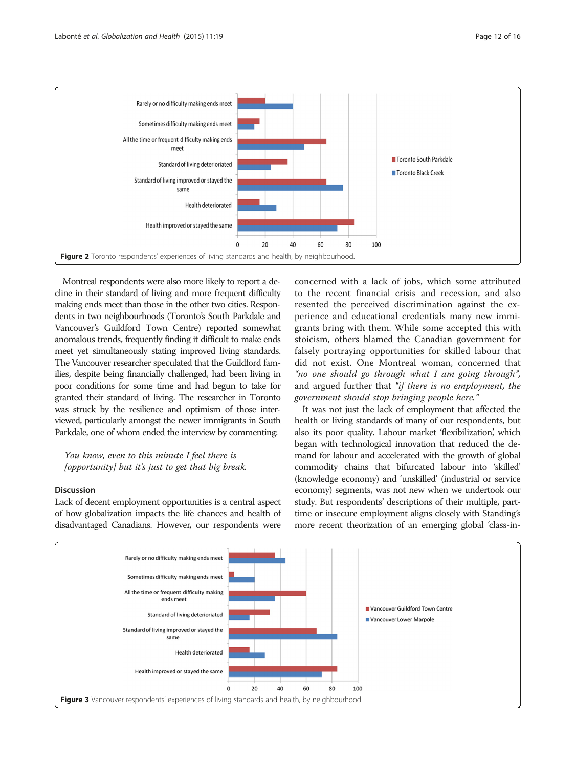<span id="page-11-0"></span>

Montreal respondents were also more likely to report a decline in their standard of living and more frequent difficulty making ends meet than those in the other two cities. Respondents in two neighbourhoods (Toronto's South Parkdale and Vancouver's Guildford Town Centre) reported somewhat anomalous trends, frequently finding it difficult to make ends meet yet simultaneously stating improved living standards. The Vancouver researcher speculated that the Guildford families, despite being financially challenged, had been living in poor conditions for some time and had begun to take for granted their standard of living. The researcher in Toronto was struck by the resilience and optimism of those interviewed, particularly amongst the newer immigrants in South Parkdale, one of whom ended the interview by commenting:

You know, even to this minute I feel there is [opportunity] but it's just to get that big break.

### Discussion

Lack of decent employment opportunities is a central aspect of how globalization impacts the life chances and health of disadvantaged Canadians. However, our respondents were

concerned with a lack of jobs, which some attributed to the recent financial crisis and recession, and also resented the perceived discrimination against the experience and educational credentials many new immigrants bring with them. While some accepted this with stoicism, others blamed the Canadian government for falsely portraying opportunities for skilled labour that did not exist. One Montreal woman, concerned that "no one should go through what I am going through", and argued further that "if there is no employment, the government should stop bringing people here."

It was not just the lack of employment that affected the health or living standards of many of our respondents, but also its poor quality. Labour market 'flexibilization', which began with technological innovation that reduced the demand for labour and accelerated with the growth of global commodity chains that bifurcated labour into 'skilled' (knowledge economy) and 'unskilled' (industrial or service economy) segments, was not new when we undertook our study. But respondents' descriptions of their multiple, parttime or insecure employment aligns closely with Standing's more recent theorization of an emerging global 'class-in-

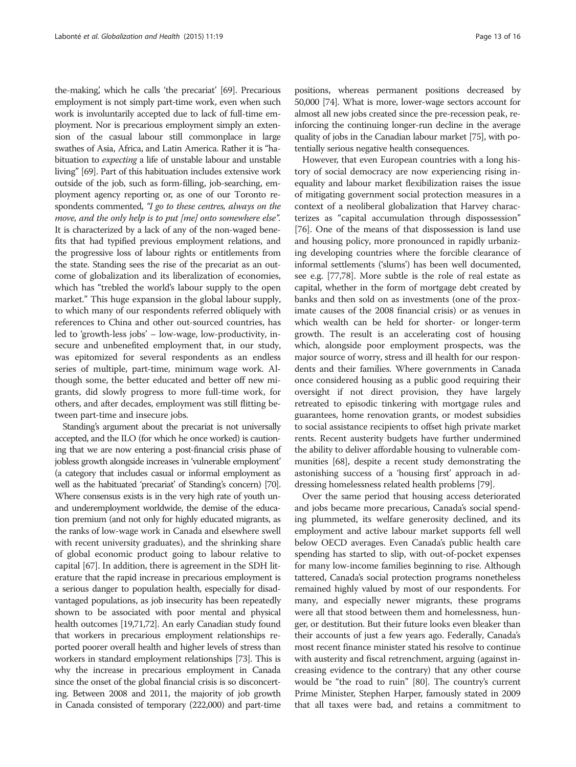the-making, which he calls 'the precariat' [\[69](#page-15-0)]. Precarious employment is not simply part-time work, even when such work is involuntarily accepted due to lack of full-time employment. Nor is precarious employment simply an extension of the casual labour still commonplace in large swathes of Asia, Africa, and Latin America. Rather it is "habituation to expecting a life of unstable labour and unstable living" [\[69](#page-15-0)]. Part of this habituation includes extensive work outside of the job, such as form-filling, job-searching, employment agency reporting or, as one of our Toronto respondents commented, "I go to these centres, always on the move, and the only help is to put [me] onto somewhere else". It is characterized by a lack of any of the non-waged benefits that had typified previous employment relations, and the progressive loss of labour rights or entitlements from the state. Standing sees the rise of the precariat as an outcome of globalization and its liberalization of economies, which has "trebled the world's labour supply to the open market." This huge expansion in the global labour supply, to which many of our respondents referred obliquely with references to China and other out-sourced countries, has led to 'growth-less jobs' – low-wage, low-productivity, insecure and unbenefited employment that, in our study, was epitomized for several respondents as an endless series of multiple, part-time, minimum wage work. Although some, the better educated and better off new migrants, did slowly progress to more full-time work, for others, and after decades, employment was still flitting between part-time and insecure jobs.

Standing's argument about the precariat is not universally accepted, and the ILO (for which he once worked) is cautioning that we are now entering a post-financial crisis phase of jobless growth alongside increases in 'vulnerable employment' (a category that includes casual or informal employment as well as the habituated 'precariat' of Standing's concern) [\[70\]](#page-15-0). Where consensus exists is in the very high rate of youth unand underemployment worldwide, the demise of the education premium (and not only for highly educated migrants, as the ranks of low-wage work in Canada and elsewhere swell with recent university graduates), and the shrinking share of global economic product going to labour relative to capital [\[67](#page-15-0)]. In addition, there is agreement in the SDH literature that the rapid increase in precarious employment is a serious danger to population health, especially for disadvantaged populations, as job insecurity has been repeatedly shown to be associated with poor mental and physical health outcomes [\[19,](#page-14-0)[71,72\]](#page-15-0). An early Canadian study found that workers in precarious employment relationships reported poorer overall health and higher levels of stress than workers in standard employment relationships [\[73\]](#page-15-0). This is why the increase in precarious employment in Canada since the onset of the global financial crisis is so disconcerting. Between 2008 and 2011, the majority of job growth in Canada consisted of temporary (222,000) and part-time positions, whereas permanent positions decreased by 50,000 [[74](#page-15-0)]. What is more, lower-wage sectors account for almost all new jobs created since the pre-recession peak, reinforcing the continuing longer-run decline in the average quality of jobs in the Canadian labour market [\[75\]](#page-15-0), with potentially serious negative health consequences.

However, that even European countries with a long history of social democracy are now experiencing rising inequality and labour market flexibilization raises the issue of mitigating government social protection measures in a context of a neoliberal globalization that Harvey characterizes as "capital accumulation through dispossession" [[76](#page-15-0)]. One of the means of that dispossession is land use and housing policy, more pronounced in rapidly urbanizing developing countries where the forcible clearance of informal settlements ('slums') has been well documented, see e.g. [\[77,78\]](#page-15-0). More subtle is the role of real estate as capital, whether in the form of mortgage debt created by banks and then sold on as investments (one of the proximate causes of the 2008 financial crisis) or as venues in which wealth can be held for shorter- or longer-term growth. The result is an accelerating cost of housing which, alongside poor employment prospects, was the major source of worry, stress and ill health for our respondents and their families. Where governments in Canada once considered housing as a public good requiring their oversight if not direct provision, they have largely retreated to episodic tinkering with mortgage rules and guarantees, home renovation grants, or modest subsidies to social assistance recipients to offset high private market rents. Recent austerity budgets have further undermined the ability to deliver affordable housing to vulnerable communities [\[68\]](#page-15-0), despite a recent study demonstrating the astonishing success of a 'housing first' approach in addressing homelessness related health problems [[79](#page-15-0)].

Over the same period that housing access deteriorated and jobs became more precarious, Canada's social spending plummeted, its welfare generosity declined, and its employment and active labour market supports fell well below OECD averages. Even Canada's public health care spending has started to slip, with out-of-pocket expenses for many low-income families beginning to rise. Although tattered, Canada's social protection programs nonetheless remained highly valued by most of our respondents. For many, and especially newer migrants, these programs were all that stood between them and homelessness, hunger, or destitution. But their future looks even bleaker than their accounts of just a few years ago. Federally, Canada's most recent finance minister stated his resolve to continue with austerity and fiscal retrenchment, arguing (against increasing evidence to the contrary) that any other course would be "the road to ruin" [[80](#page-15-0)]. The country's current Prime Minister, Stephen Harper, famously stated in 2009 that all taxes were bad, and retains a commitment to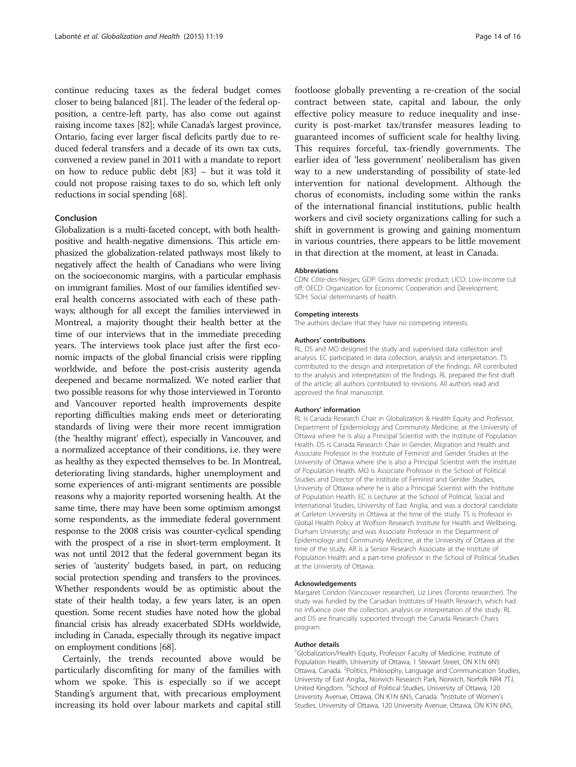continue reducing taxes as the federal budget comes closer to being balanced [[81](#page-15-0)]. The leader of the federal opposition, a centre-left party, has also come out against raising income taxes [\[82\]](#page-15-0); while Canada's largest province, Ontario, facing ever larger fiscal deficits partly due to reduced federal transfers and a decade of its own tax cuts, convened a review panel in 2011 with a mandate to report on how to reduce public debt [[83](#page-15-0)] – but it was told it could not propose raising taxes to do so, which left only reductions in social spending [[68](#page-15-0)].

# Conclusion

Globalization is a multi-faceted concept, with both healthpositive and health-negative dimensions. This article emphasized the globalization-related pathways most likely to negatively affect the health of Canadians who were living on the socioeconomic margins, with a particular emphasis on immigrant families. Most of our families identified several health concerns associated with each of these pathways; although for all except the families interviewed in Montreal, a majority thought their health better at the time of our interviews that in the immediate preceding years. The interviews took place just after the first economic impacts of the global financial crisis were rippling worldwide, and before the post-crisis austerity agenda deepened and became normalized. We noted earlier that two possible reasons for why those interviewed in Toronto and Vancouver reported health improvements despite reporting difficulties making ends meet or deteriorating standards of living were their more recent immigration (the 'healthy migrant' effect), especially in Vancouver, and a normalized acceptance of their conditions, i.e. they were as healthy as they expected themselves to be. In Montreal, deteriorating living standards, higher unemployment and some experiences of anti-migrant sentiments are possible reasons why a majority reported worsening health. At the same time, there may have been some optimism amongst some respondents, as the immediate federal government response to the 2008 crisis was counter-cyclical spending with the prospect of a rise in short-term employment. It was not until 2012 that the federal government began its series of 'austerity' budgets based, in part, on reducing social protection spending and transfers to the provinces. Whether respondents would be as optimistic about the state of their health today, a few years later, is an open question. Some recent studies have noted how the global financial crisis has already exacerbated SDHs worldwide, including in Canada, especially through its negative impact on employment conditions [[68](#page-15-0)].

Certainly, the trends recounted above would be particularly discomfiting for many of the families with whom we spoke. This is especially so if we accept Standing's argument that, with precarious employment increasing its hold over labour markets and capital still footloose globally preventing a re-creation of the social contract between state, capital and labour, the only effective policy measure to reduce inequality and insecurity is post-market tax/transfer measures leading to guaranteed incomes of sufficient scale for healthy living. This requires forceful, tax-friendly governments. The earlier idea of 'less government' neoliberalism has given way to a new understanding of possibility of state-led intervention for national development. Although the chorus of economists, including some within the ranks of the international financial institutions, public health workers and civil society organizations calling for such a shift in government is growing and gaining momentum in various countries, there appears to be little movement in that direction at the moment, at least in Canada.

### Abbreviations

CDN: Côte-des-Neiges; GDP: Gross domestic product; LICO: Low-income cut off; OECD: Organization for Economic Cooperation and Development; SDH: Social determinants of health.

### Competing interests

The authors declare that they have no competing interests.

#### Authors' contributions

RL, DS and MO designed the study and supervised data collection and analysis. EC participated in data collection, analysis and interpretation. TS contributed to the design and interpretation of the findings. AR contributed to the analysis and interpretation of the findings. RL prepared the first draft of the article; all authors contributed to revisions. All authors read and approved the final manuscript.

#### Authors' information

RL is Canada Research Chair in Globalization & Health Equity and Professor, Department of Epidemiology and Community Medicine, at the University of Ottawa where he is also a Principal Scientist with the Institute of Population Health. DS is Canada Research Chair in Gender, Migration and Health and Associate Professor in the Institute of Feminist and Gender Studies at the University of Ottawa where she is also a Principal Scientist with the Institute of Population Health. MO is Associate Professor in the School of Political Studies and Director of the Institute of Feminist and Gender Studies, University of Ottawa where he is also a Principal Scientist with the Institute of Population Health. EC is Lecturer at the School of Political, Social and International Studies, University of East Anglia, and was a doctoral candidate at Carleton University in Ottawa at the time of the study. TS is Professor in Global Health Policy at Wolfson Research Institute for Health and Wellbeing, Durham University; and was Associate Professor in the Department of Epidemiology and Community Medicine, at the University of Ottawa at the time of the study. AR is a Senior Research Associate at the Institute of Population Health and a part-time professor in the School of Political Studies at the University of Ottawa.

#### Acknowledgements

Margaret Condon (Vancouver researcher), Liz Lines (Toronto researcher). The study was funded by the Canadian Institutes of Health Research, which had no influence over the collection, analysis or interpretation of the study. RL and DS are financially supported through the Canada Research Chairs program.

#### Author details

<sup>1</sup>Globalization/Health Equity, Professor Faculty of Medicine, Institute of Population Health, University of Ottawa, 1 Stewart Street, ON K1N 6N5 Ottawa, Canada. <sup>2</sup>Politics, Philosophy, Language and Communication Studies University of East Anglia,, Norwich Research Park, Norwich, Norfolk NR4 7TJ, United Kingdom. <sup>3</sup>School of Political Studies, University of Ottawa, 120 University Avenue, Ottawa, ON K1N 6N5, Canada. <sup>4</sup>Institute of Women's Studies, University of Ottawa, 120 University Avenue, Ottawa, ON K1N 6N5,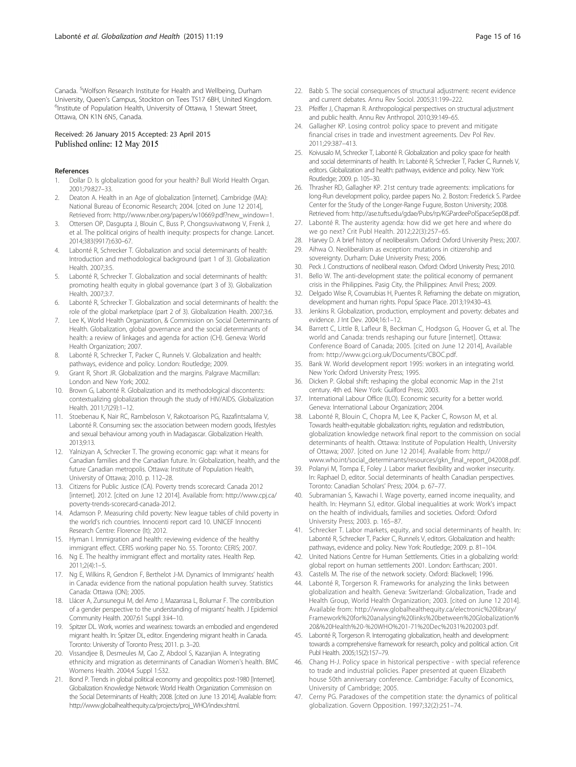<span id="page-14-0"></span>Canada. <sup>5</sup>Wolfson Research Institute for Health and Wellbeing, Durham University, Queen's Campus, Stockton on Tees TS17 6BH, United Kingdom. <sup>6</sup> <sup>6</sup>Institute of Population Health, University of Ottawa, 1 Stewart Street, Ottawa, ON K1N 6N5, Canada.

### Received: 26 January 2015 Accepted: 23 April 2015 Published online: 12 May 2015

#### References

- 1. Dollar D. Is globalization good for your health? Bull World Health Organ. 2001;79:827–33.
- 2. Deaton A. Health in an Age of globalization [internet]. Cambridge (MA): National Bureau of Economic Research; 2004. [cited on June 12 2014], Retrieved from: [http://www.nber.org/papers/w10669.pdf?new\\_window=1.](http://www.nber.org/papers/w10669.pdf?new_window=1)
- 3. Ottersen OP, Dasgupta J, Blouin C, Buss P, Chongsuvivatwong V, Frenk J, et al. The political origins of health inequity: prospects for change. Lancet. 2014;383(9917):630–67.
- Labonté R, Schrecker T. Globalization and social determinants of health: Introduction and methodological background (part 1 of 3). Globalization Health. 2007;3:5.
- 5. Labonté R, Schrecker T. Globalization and social determinants of health: promoting health equity in global governance (part 3 of 3). Globalization Health. 2007;3:7.
- 6. Labonté R, Schrecker T. Globalization and social determinants of health: the role of the global marketplace (part 2 of 3). Globalization Health. 2007;3:6.
- 7. Lee K, World Health Organization, & Commission on Social Determinants of Health. Globalization, global governance and the social determinants of health: a review of linkages and agenda for action (CH). Geneva: World Health Organization; 2007.
- Labonté R, Schrecker T, Packer C, Runnels V. Globalization and health: pathways, evidence and policy. London: Routledge; 2009.
- Grant R, Short JR. Globalization and the margins. Palgrave Macmillan: London and New York; 2002.
- 10. Brown G, Labonté R. Globalization and its methodological discontents: contextualizing globalization through the study of HIV/AIDS. Globalization Health. 2011;7(29):1–12.
- 11. Stoebenau K, Nair RC, Rambeloson V, Rakotoarison PG, Razafintsalama V, Labonté R. Consuming sex: the association between modern goods, lifestyles and sexual behaviour among youth in Madagascar. Globalization Health. 2013;9:13.
- 12. Yalnizyan A, Schrecker T. The growing economic gap: what it means for Canadian families and the Canadian future. In: Globalization, health, and the future Canadian metropolis. Ottawa: Institute of Population Health, University of Ottawa; 2010. p. 112–28.
- 13. Citizens for Public Justice (CA). Poverty trends scorecard: Canada 2012 [internet]. 2012. [cited on June 12 2014]. Available from: [http://www.cpj.ca/](http://www.cpj.ca/poverty-trends-scorecard-canada-2012) [poverty-trends-scorecard-canada-2012.](http://www.cpj.ca/poverty-trends-scorecard-canada-2012)
- 14. Adamson P. Measuring child poverty: New league tables of child poverty in the world's rich countries. Innocenti report card 10. UNICEF Innocenti Research Centre: Florence (It); 2012.
- 15. Hyman I. Immigration and health: reviewing evidence of the healthy immigrant effect. CERIS working paper No. 55. Toronto: CERIS; 2007.
- 16. Ng E. The healthy immigrant effect and mortality rates. Health Rep. 2011;2(4):1–5.
- 17. Ng E, Wilkins R, Gendron F, Berthelot J-M. Dynamics of Immigrants' health in Canada: evidence from the national population health survey. Statistics Canada: Ottawa (ON); 2005.
- 18. Llácer A, Zunsunegui M, del Amo J, Mazarrasa L, Bolumar F. The contribution of a gender perspective to the understanding of migrants' health. J Epidemiol Community Health. 2007;61 Suppl 3:ii4–10.
- 19. Spitzer DL. Work, worries and weariness: towards an embodied and engendered migrant health. In: Spitzer DL, editor. Engendering migrant health in Canada. Toronto: University of Toronto Press; 2011. p. 3–20.
- 20. Vissandjee B, Desmeules M, Cao Z, Abdool S, Kazanjian A. Integrating ethnicity and migration as determinants of Canadian Women's health. BMC Womens Health. 2004;4 Suppl 1:S32.
- 21. Bond P. Trends in global political economy and geopolitics post-1980 [Internet]. Globalization Knowledge Network: World Health Organization Commission on the Social Determinants of Health; 2008. [cited on June 13 2014], Available from: [http://www.globalhealthequity.ca/projects/proj\\_WHO/index.shtml.](http://www.globalhealthequity.ca/projects/proj_WHO/index.shtml)
- 22. Babb S. The social consequences of structural adjustment: recent evidence and current debates. Annu Rev Sociol. 2005;31:199–222.
- 23. Pfeiffer J, Chapman R. Anthropological perspectives on structural adjustment and public health. Annu Rev Anthropol. 2010;39:149–65.
- 24. Gallagher KP. Losing control: policy space to prevent and mitigate financial crises in trade and investment agreements. Dev Pol Rev. 2011;29:387–413.
- 25. Koivusalo M, Schrecker T, Labonté R. Globalization and policy space for health and social determinants of health. In: Labonté R, Schrecker T, Packer C, Runnels V, editors. Globalization and health: pathways, evidence and policy. New York: Routledge; 2009. p. 105–30.
- 26. Thrasher RD, Gallagher KP. 21st century trade agreements: implications for long-Run development policy, pardee papers No. 2. Boston: Frederick S. Pardee Center for the Study of the Longer-Range Fugure, Boston University; 2008. Retrieved from:<http://ase.tufts.edu/gdae/Pubs/rp/KGPardeePolSpaceSep08.pdf>.
- 27. Labonté R. The austerity agenda: how did we get here and where do we go next? Crit Publ Health. 2012;22(3):257–65.
- 28. Harvey D. A brief history of neoliberalism. Oxford: Oxford University Press; 2007.
- 29. Aihwa O. Neoliberalism as exception: mutations in citizenship and sovereignty. Durham: Duke University Press; 2006.
- 30. Peck J. Constructions of neoliberal reason. Oxford: Oxford University Press; 2010.
- 31. Bello W. The anti-development state: the political economy of permanent crisis in the Philippines. Pasig City, the Philippines: Anvil Press; 2009.
- 32. Delgado Wise R, Covarrubias H, Puentes R. Reframing the debate on migration, development and human rights. Popul Space Place. 2013;19:430–43.
- 33. Jenkins R. Globalization, production, employment and poverty: debates and evidence. J Int Dev. 2004;16:1–12.
- 34. Barrett C, Little B, Lafleur B, Beckman C, Hodgson G, Hoover G, et al. The world and Canada: trends reshaping our future [internet]. Ottawa: Conference Board of Canada; 2005. [cited on June 12 2014], Available from: [http://www.gci.org.uk/Documents/CBOC.pdf.](http://www.gci.org.uk/Documents/CBOC.pdf)
- 35. Bank W. World development report 1995: workers in an integrating world. New York: Oxford University Press; 1995.
- 36. Dicken P. Global shift: reshaping the global economic Map in the 21st century. 4th ed. New York: Guilford Press; 2003.
- 37. International Labour Office (ILO). Economic security for a better world. Geneva: International Labour Organization; 2004.
- 38. Labonté R, Blouin C, Chopra M, Lee K, Packer C, Rowson M, et al. Towards health-equitable globalization: rights, regulation and redistribution, globalization knowledge network final report to the commission on social determinants of health. Ottawa: Institute of Population Health, University of Ottawa; 2007. [cited on June 12 2014]. Available from: [http://](http://www.who.int/social_determinants/resources/gkn_final_report_042008.pdf) [www.who.int/social\\_determinants/resources/gkn\\_final\\_report\\_042008.pdf](http://www.who.int/social_determinants/resources/gkn_final_report_042008.pdf).
- 39. Polanyi M, Tompa E, Foley J. Labor market flexibility and worker insecurity. In: Raphael D, editor. Social determinants of health Canadian perspectives. Toronto: Canadian Scholars' Press; 2004. p. 67–77.
- 40. Subramanian S, Kawachi I. Wage poverty, earned income inequality, and health. In: Heymann SJ, editor. Global inequalities at work: Work's impact on the health of individuals, families and societies. Oxford: Oxford University Press; 2003. p. 165–87.
- 41. Schrecker T. Labor markets, equity, and social determinants of health. In: Labonté R, Schrecker T, Packer C, Runnels V, editors. Globalization and health: pathways, evidence and policy. New York: Routledge; 2009. p. 81–104.
- 42. United Nations Centre for Human Settlements. Cities in a globalizing world: global report on human settlements 2001. London: Earthscan; 2001.
- 43. Castells M. The rise of the network society. Oxford: Blackwell; 1996.
- 44. Labonté R, Torgerson R. Frameworks for analyzing the links between globalization and health. Geneva: Switzerland: Globalization, Trade and Health Group, World Health Organization; 2003. [cited on June 12 2014]. Available from: [http://www.globalhealthequity.ca/electronic%20library/](http://www.globalhealthequity.ca/electronic%20library/Framework%20for%20analysing%20links%20between%20Globalization%20&%20Health%20-%20WHO%201-71%20Dec%2031%202003.pdf) [Framework%20for%20analysing%20links%20between%20Globalization%](http://www.globalhealthequity.ca/electronic%20library/Framework%20for%20analysing%20links%20between%20Globalization%20&%20Health%20-%20WHO%201-71%20Dec%2031%202003.pdf) [20&%20Health%20-%20WHO%201-71%20Dec%2031%202003.pdf](http://www.globalhealthequity.ca/electronic%20library/Framework%20for%20analysing%20links%20between%20Globalization%20&%20Health%20-%20WHO%201-71%20Dec%2031%202003.pdf).
- 45. Labonté R, Torgerson R. Interrogating globalization, health and development: towards a comprehensive framework for research, policy and political action. Crit Publ Health. 2005;15(2):157–79.
- 46. Chang H-J. Policy space in historical perspective with special reference to trade and industrial policies. Paper presented at queen Elizabeth house 50th anniversary conference. Cambridge: Faculty of Economics, University of Cambridge; 2005.
- 47. Cerny PG. Paradoxes of the competition state: the dynamics of political globalization. Govern Opposition. 1997;32(2):251–74.